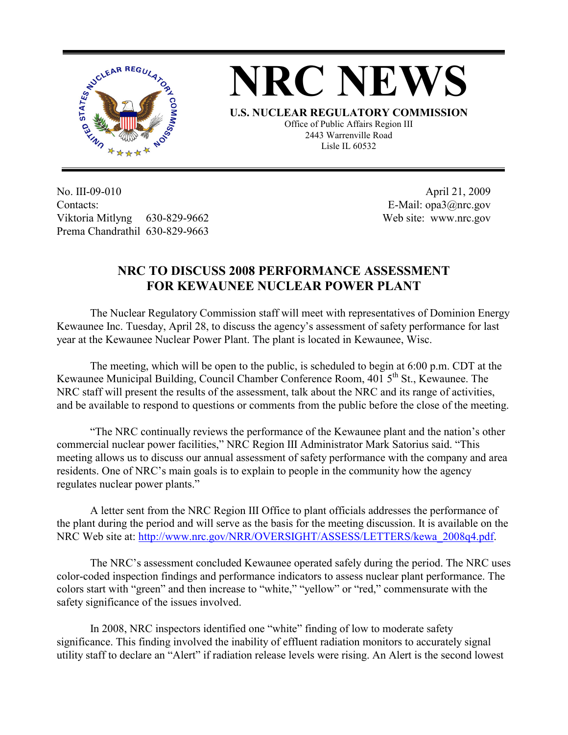



**U.S. NUCLEAR REGULATORY COMMISSION** Office of Public Affairs Region III 2443 Warrenville Road Lisle IL 60532

No. III-09-010 Contacts: Viktoria Mitlyng 630-829-9662 Prema Chandrathil 630-829-9663

 April 21, 2009 E-Mail: opa3@nrc.gov Web site: www.nrc.gov

## **NRC TO DISCUSS 2008 PERFORMANCE ASSESSMENT FOR KEWAUNEE NUCLEAR POWER PLANT**

 The Nuclear Regulatory Commission staff will meet with representatives of Dominion Energy Kewaunee Inc. Tuesday, April 28, to discuss the agency's assessment of safety performance for last year at the Kewaunee Nuclear Power Plant. The plant is located in Kewaunee, Wisc.

 The meeting, which will be open to the public, is scheduled to begin at 6:00 p.m. CDT at the Kewaunee Municipal Building, Council Chamber Conference Room, 401 5<sup>th</sup> St., Kewaunee. The NRC staff will present the results of the assessment, talk about the NRC and its range of activities, and be available to respond to questions or comments from the public before the close of the meeting.

 "The NRC continually reviews the performance of the Kewaunee plant and the nation's other commercial nuclear power facilities," NRC Region III Administrator Mark Satorius said. "This meeting allows us to discuss our annual assessment of safety performance with the company and area residents. One of NRC's main goals is to explain to people in the community how the agency regulates nuclear power plants."

 A letter sent from the NRC Region III Office to plant officials addresses the performance of the plant during the period and will serve as the basis for the meeting discussion. It is available on the NRC Web site at: http://www.nrc.gov/NRR/OVERSIGHT/ASSESS/LETTERS/kewa\_2008q4.pdf.

 The NRC's assessment concluded Kewaunee operated safely during the period. The NRC uses color-coded inspection findings and performance indicators to assess nuclear plant performance. The colors start with "green" and then increase to "white," "yellow" or "red," commensurate with the safety significance of the issues involved.

 In 2008, NRC inspectors identified one "white" finding of low to moderate safety significance. This finding involved the inability of effluent radiation monitors to accurately signal utility staff to declare an "Alert" if radiation release levels were rising. An Alert is the second lowest